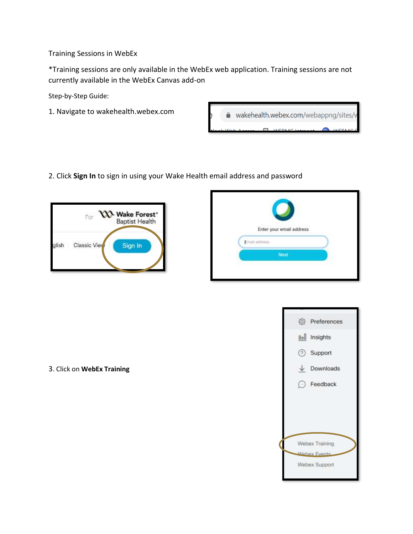Training Sessions in WebEx

\*Training sessions are only available in the WebEx web application. Training sessions are not currently available in the WebEx Canvas add-on

Step-by-Step Guide:

1. Navigate to wakehealth.webex.com



2. Click **Sign In** to sign in using your Wake Health email address and password





| <sup>2</sup> Preferences |  |  |
|--------------------------|--|--|
| Doll Insights            |  |  |
| Support                  |  |  |
| $\downarrow$ Downloads   |  |  |
| $\bigcap$ Feedback       |  |  |
|                          |  |  |
|                          |  |  |
|                          |  |  |
| Webex Training           |  |  |
| <b>Minhay Fuents</b>     |  |  |
| Webex Support            |  |  |
|                          |  |  |

3. Click on **WebEx Training**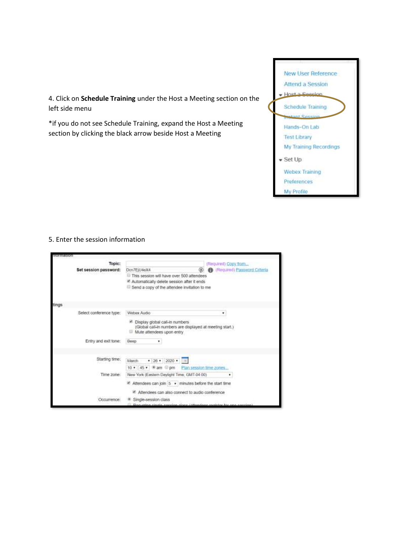4. Click on **Schedule Training** under the Host a Meeting section on the left side menu

\*if you do not see Schedule Training, expand the Host a Meeting section by clicking the black arrow beside Host a Meeting



## 5. Enter the session information

| nformation                      |                                                                                                                                                                   |                                                            |
|---------------------------------|-------------------------------------------------------------------------------------------------------------------------------------------------------------------|------------------------------------------------------------|
| Topic:<br>Set session password: | Dcn7EjU4eX4<br>This session will have over 500 attendees<br>* Automatically delete session after it ends<br>Send a copy of the attendee invitation to me          | (Required) Copy from<br><b>Continued</b> Password Criteria |
| spntt                           |                                                                                                                                                                   |                                                            |
| Select conference type:         | Webex Audio<br>٠<br>6 Display global call-in numbers<br>(Global call-in numbers are displayed at meeting start.)<br>Mute attendees upon entry<br>œ                |                                                            |
| Entry and exit tone:            | Boop<br>٠                                                                                                                                                         |                                                            |
| Starting time:                  | $\bullet$ 26 $\bullet$ 2020 $\bullet$<br>March<br>Plan session time zones<br>10 · 45 · Bam @pm                                                                    |                                                            |
| Time zone:                      | New York (Eastern Daylight Time, GMT-04:00)<br>Attendees can join $5 \rightarrow$ minutes before the start time<br>Attendees can also connect to audio conference |                                                            |
| Occurrence:                     | Single-session class                                                                                                                                              |                                                            |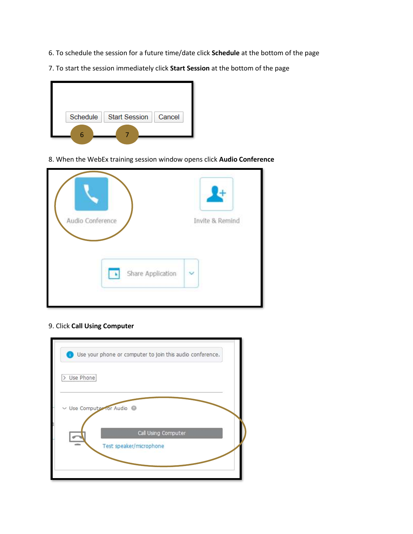- 6. To schedule the session for a future time/date click **Schedule** at the bottom of the page
- 7. To start the session immediately click **Start Session** at the bottom of the page



8. When the WebEx training session window opens click **Audio Conference**



## 9. Click **Call Using Computer**

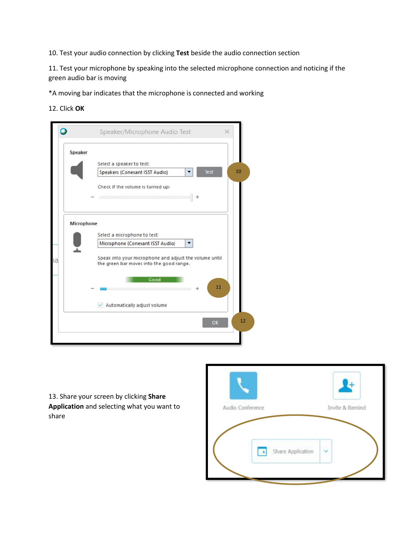10. Test your audio connection by clicking **Test** beside the audio connection section

11. Test your microphone by speaking into the selected microphone connection and noticing if the green audio bar is moving

\*A moving bar indicates that the microphone is connected and working

12. Click **OK**



13. Share your screen by clicking **Share Application** and selecting what you want to share